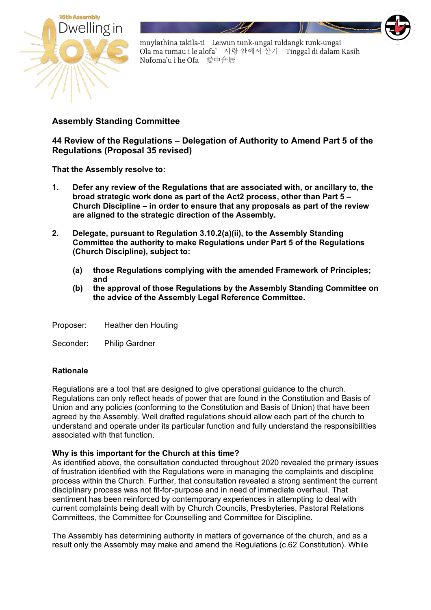

## **Assembly Standing Committee**

**44 Review of the Regulations – Delegation of Authority to Amend Part 5 of the Regulations (Proposal 35 revised)**

**That the Assembly resolve to:** 

- **1. Defer any review of the Regulations that are associated with, or ancillary to, the broad strategic work done as part of the Act2 process, other than Part 5 – Church Discipline – in order to ensure that any proposals as part of the review are aligned to the strategic direction of the Assembly.**
- **2. Delegate, pursuant to Regulation 3.10.2(a)(ii), to the Assembly Standing Committee the authority to make Regulations under Part 5 of the Regulations (Church Discipline), subject to:**
	- **(a) those Regulations complying with the amended Framework of Principles; and**
	- **(b) the approval of those Regulations by the Assembly Standing Committee on the advice of the Assembly Legal Reference Committee.**

Proposer: Heather den Houting

Seconder: Philip Gardner

## **Rationale**

Regulations are a tool that are designed to give operational guidance to the church. Regulations can only reflect heads of power that are found in the Constitution and Basis of Union and any policies (conforming to the Constitution and Basis of Union) that have been agreed by the Assembly. Well drafted regulations should allow each part of the church to understand and operate under its particular function and fully understand the responsibilities associated with that function.

#### **Why is this important for the Church at this time?**

As identified above, the consultation conducted throughout 2020 revealed the primary issues of frustration identified with the Regulations were in managing the complaints and discipline process within the Church. Further, that consultation revealed a strong sentiment the current disciplinary process was not fit-for-purpose and in need of immediate overhaul. That sentiment has been reinforced by contemporary experiences in attempting to deal with current complaints being dealt with by Church Councils, Presbyteries, Pastoral Relations Committees, the Committee for Counselling and Committee for Discipline.

The Assembly has determining authority in matters of governance of the church, and as a result only the Assembly may make and amend the Regulations (c.62 Constitution). While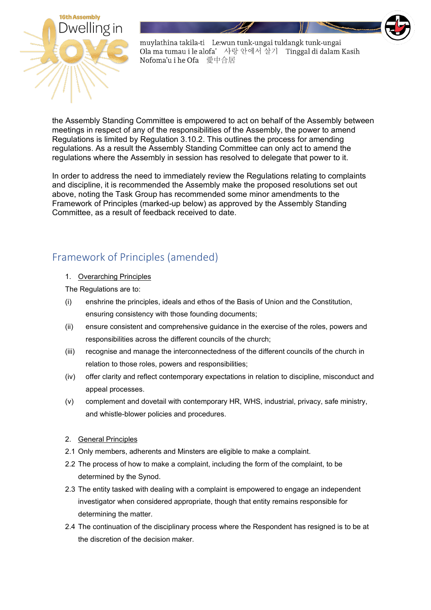

the Assembly Standing Committee is empowered to act on behalf of the Assembly between meetings in respect of any of the responsibilities of the Assembly, the power to amend Regulations is limited by Regulation 3.10.2. This outlines the process for amending regulations. As a result the Assembly Standing Committee can only act to amend the regulations where the Assembly in session has resolved to delegate that power to it.

In order to address the need to immediately review the Regulations relating to complaints and discipline, it is recommended the Assembly make the proposed resolutions set out above, noting the Task Group has recommended some minor amendments to the Framework of Principles (marked-up below) as approved by the Assembly Standing Committee, as a result of feedback received to date.

# Framework of Principles (amended)

## 1. Overarching Principles

The Regulations are to:

- (i) enshrine the principles, ideals and ethos of the Basis of Union and the Constitution, ensuring consistency with those founding documents;
- (ii) ensure consistent and comprehensive guidance in the exercise of the roles, powers and responsibilities across the different councils of the church;
- (iii) recognise and manage the interconnectedness of the different councils of the church in relation to those roles, powers and responsibilities;
- (iv) offer clarity and reflect contemporary expectations in relation to discipline, misconduct and appeal processes.
- (v) complement and dovetail with contemporary HR, WHS, industrial, privacy, safe ministry, and whistle-blower policies and procedures.
- 2. General Principles
- 2.1 Only members, adherents and Minsters are eligible to make a complaint.
- 2.2 The process of how to make a complaint, including the form of the complaint, to be determined by the Synod.
- 2.3 The entity tasked with dealing with a complaint is empowered to engage an independent investigator when considered appropriate, though that entity remains responsible for determining the matter.
- 2.4 The continuation of the disciplinary process where the Respondent has resigned is to be at the discretion of the decision maker.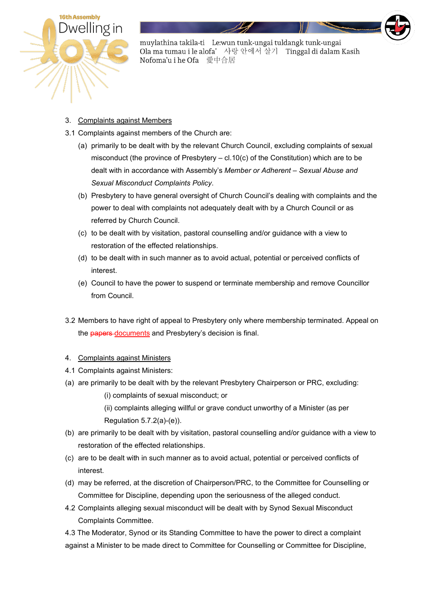

#### 3. Complaints against Members

- 3.1 Complaints against members of the Church are:
	- (a) primarily to be dealt with by the relevant Church Council, excluding complaints of sexual misconduct (the province of Presbytery – cl.10(c) of the Constitution) which are to be dealt with in accordance with Assembly's *Member or Adherent – Sexual Abuse and Sexual Misconduct Complaints Policy*.
	- (b) Presbytery to have general oversight of Church Council's dealing with complaints and the power to deal with complaints not adequately dealt with by a Church Council or as referred by Church Council.
	- (c) to be dealt with by visitation, pastoral counselling and/or guidance with a view to restoration of the effected relationships.
	- (d) to be dealt with in such manner as to avoid actual, potential or perceived conflicts of interest.
	- (e) Council to have the power to suspend or terminate membership and remove Councillor from Council.
- 3.2 Members to have right of appeal to Presbytery only where membership terminated. Appeal on the papers documents and Presbytery's decision is final.

#### 4. Complaints against Ministers

- 4.1 Complaints against Ministers:
- (a) are primarily to be dealt with by the relevant Presbytery Chairperson or PRC, excluding:
	- (i) complaints of sexual misconduct; or
	- (ii) complaints alleging willful or grave conduct unworthy of a Minister (as per Regulation 5.7.2(a)-(e)).
- (b) are primarily to be dealt with by visitation, pastoral counselling and/or guidance with a view to restoration of the effected relationships.
- (c) are to be dealt with in such manner as to avoid actual, potential or perceived conflicts of interest.
- (d) may be referred, at the discretion of Chairperson/PRC, to the Committee for Counselling or Committee for Discipline, depending upon the seriousness of the alleged conduct.
- 4.2 Complaints alleging sexual misconduct will be dealt with by Synod Sexual Misconduct Complaints Committee.

4.3 The Moderator, Synod or its Standing Committee to have the power to direct a complaint against a Minister to be made direct to Committee for Counselling or Committee for Discipline,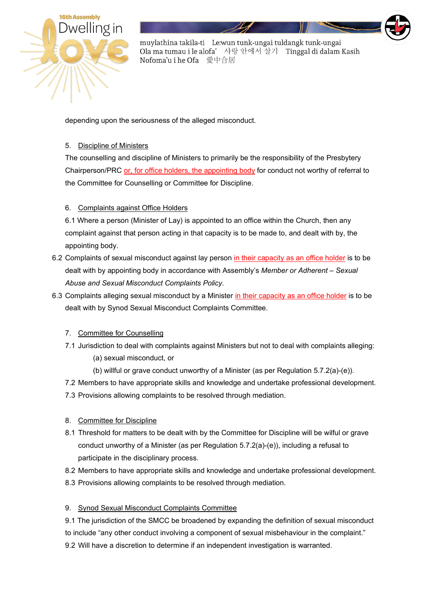

depending upon the seriousness of the alleged misconduct.

#### 5. Discipline of Ministers

The counselling and discipline of Ministers to primarily be the responsibility of the Presbytery Chairperson/PRC or, for office holders, the appointing body for conduct not worthy of referral to the Committee for Counselling or Committee for Discipline.

## 6. Complaints against Office Holders

6.1 Where a person (Minister of Lay) is appointed to an office within the Church, then any complaint against that person acting in that capacity is to be made to, and dealt with by, the appointing body.

- 6.2 Complaints of sexual misconduct against lay person in their capacity as an office holder is to be dealt with by appointing body in accordance with Assembly's *Member or Adherent – Sexual Abuse and Sexual Misconduct Complaints Policy*.
- 6.3 Complaints alleging sexual misconduct by a Minister in their capacity as an office holder is to be dealt with by Synod Sexual Misconduct Complaints Committee.

## 7. Committee for Counselling

- 7.1 Jurisdiction to deal with complaints against Ministers but not to deal with complaints alleging:
	- (a) sexual misconduct, or
	- (b) willful or grave conduct unworthy of a Minister (as per Regulation 5.7.2(a)-(e)).
- 7.2 Members to have appropriate skills and knowledge and undertake professional development.
- 7.3 Provisions allowing complaints to be resolved through mediation.

## 8. Committee for Discipline

- 8.1 Threshold for matters to be dealt with by the Committee for Discipline will be wilful or grave conduct unworthy of a Minister (as per Regulation 5.7.2(a)-(e)), including a refusal to participate in the disciplinary process.
- 8.2 Members to have appropriate skills and knowledge and undertake professional development.
- 8.3 Provisions allowing complaints to be resolved through mediation.

## 9. Synod Sexual Misconduct Complaints Committee

9.1 The jurisdiction of the SMCC be broadened by expanding the definition of sexual misconduct to include "any other conduct involving a component of sexual misbehaviour in the complaint." 9.2 Will have a discretion to determine if an independent investigation is warranted.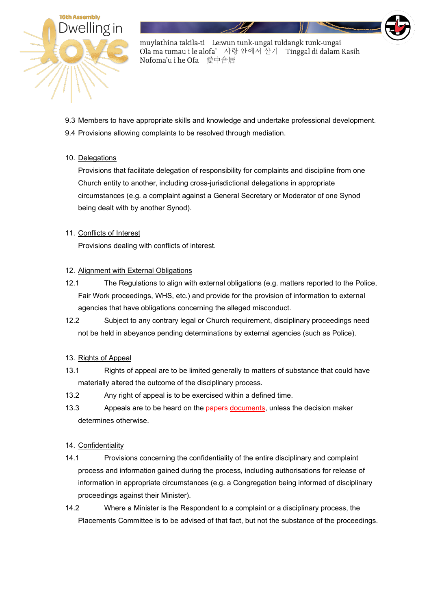

9.3 Members to have appropriate skills and knowledge and undertake professional development. 9.4 Provisions allowing complaints to be resolved through mediation.

#### 10. Delegations

Provisions that facilitate delegation of responsibility for complaints and discipline from one Church entity to another, including cross-jurisdictional delegations in appropriate circumstances (e.g. a complaint against a General Secretary or Moderator of one Synod being dealt with by another Synod).

#### 11. Conflicts of Interest

Provisions dealing with conflicts of interest.

#### 12. Alignment with External Obligations

- 12.1 The Regulations to align with external obligations (e.g. matters reported to the Police, Fair Work proceedings, WHS, etc.) and provide for the provision of information to external agencies that have obligations concerning the alleged misconduct.
- 12.2 Subject to any contrary legal or Church requirement, disciplinary proceedings need not be held in abeyance pending determinations by external agencies (such as Police).

#### 13. Rights of Appeal

- 13.1 Rights of appeal are to be limited generally to matters of substance that could have materially altered the outcome of the disciplinary process.
- 13.2 Any right of appeal is to be exercised within a defined time.
- 13.3 Appeals are to be heard on the papers documents, unless the decision maker determines otherwise.

#### 14. Confidentiality

- 14.1 Provisions concerning the confidentiality of the entire disciplinary and complaint process and information gained during the process, including authorisations for release of information in appropriate circumstances (e.g. a Congregation being informed of disciplinary proceedings against their Minister).
- 14.2 Where a Minister is the Respondent to a complaint or a disciplinary process, the Placements Committee is to be advised of that fact, but not the substance of the proceedings.